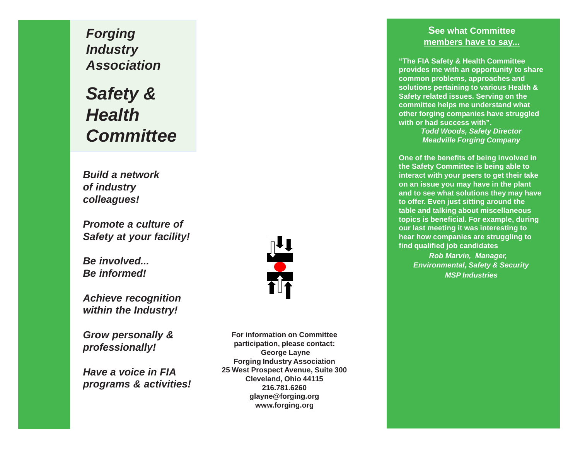*Forging Industry Association*

*Safety & Health Committee*

*Build a network of industry colleagues!*

*Promote a culture of Safety at your facility!*

*Be involved... Be informed!*

*Achieve recognition within the Industry!*

*Grow personally & professionally!*

*Have a voice in FIA programs & activities!*



**For information on Committee participation, please contact: George Layne Forging Industry Association 25 West Prospect Avenue, Suite 300 Cleveland, Ohio 44115 216.781.6260 glayne@forging.org www.forging.org**

## **See what Committee members have to say...**

**"The FIA Safety & Health Committee provides me with an opportunity to share common problems, approaches and solutions pertaining to various Health & Safety related issues. Serving on the committee helps me understand what other forging companies have struggled with or had success with".**

> *Todd Woods, Safety Director Meadville Forging Company*

**One of the benefits of being involved in the Safety Committee is being able to interact with your peers to get their take on an issue you may have in the plant and to see what solutions they may have to offer. Even just sitting around the table and talking about miscellaneous topics is beneficial. For example, during our last meeting it was interesting to hear how companies are struggling to find qualified job candidates**

*Rob Marvin, Manager, Environmental, Safety & Security MSP Industries*